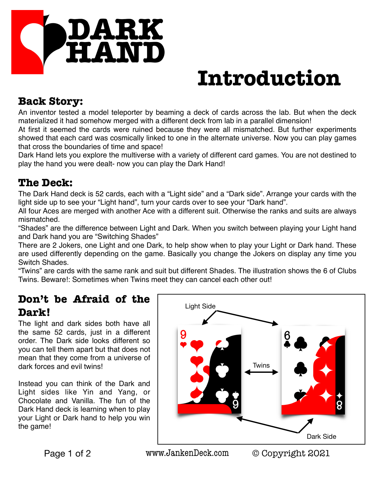

# **Introduction**

## **Back Story:**

An inventor tested a model teleporter by beaming a deck of cards across the lab. But when the deck materialized it had somehow merged with a different deck from lab in a parallel dimension!

At first it seemed the cards were ruined because they were all mismatched. But further experiments showed that each card was cosmically linked to one in the alternate universe. Now you can play games that cross the boundaries of time and space!

Dark Hand lets you explore the multiverse with a variety of different card games. You are not destined to play the hand you were dealt- now you can play the Dark Hand!

## **The Deck:**

The Dark Hand deck is 52 cards, each with a "Light side" and a "Dark side". Arrange your cards with the light side up to see your "Light hand", turn your cards over to see your "Dark hand".

All four Aces are merged with another Ace with a different suit. Otherwise the ranks and suits are always mismatched.

"Shades" are the difference between Light and Dark. When you switch between playing your Light hand and Dark hand you are "Switching Shades"

There are 2 Jokers, one Light and one Dark, to help show when to play your Light or Dark hand. These are used differently depending on the game. Basically you change the Jokers on display any time you Switch Shades.

"Twins" are cards with the same rank and suit but different Shades. The illustration shows the 6 of Clubs Twins. Beware!: Sometimes when Twins meet they can cancel each other out!

## **Don't be Afraid of the Dark!**

The light and dark sides both have all the same 52 cards, just in a different order. The Dark side looks different so you can tell them apart but that does not mean that they come from a universe of dark forces and evil twins!

Instead you can think of the Dark and Light sides like Yin and Yang, or Chocolate and Vanilla. The fun of the Dark Hand deck is learning when to play your Light or Dark hand to help you win the game!